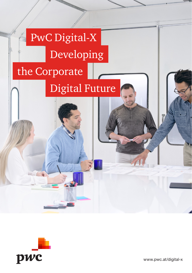# Digital Future PwC Digital-X Developing the Corporate



www.pwc.at/digital-x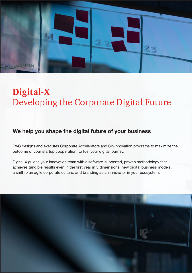

# **Digital-X** Developing the Corporate Digital Future

### We help you shape the digital future of your business

PwC designs and executes Corporate Accelerators and Co-Innovation programs to maximize the outcome of your startup cooperation, to fuel your digital journey.

Digital-X guides your innovation team with a software-supported, proven methodology that achieves tangible results even in the first year in 3 dimensions: new digital business models, a shift to an agile corporate culture, and branding as an innovator in your ecosystem.

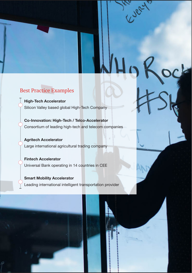

### Best Practice Examples

High-Tech Accelerator Silicon Valley based global High-Tech Company

Co-Innovation: High-Tech / Telco-Accelerator Consortium of leading high-tech and telecom companies

Agritech Accelerator Large international agricultural trading company

Fintech Accelerator Universal Bank operating in 14 countries in CEE

Smart Mobility Accelerator Leading international intelligent transportation provider



Cuely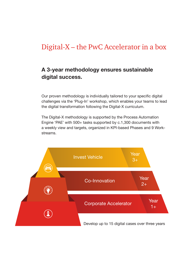### Digital-X – the PwC Accelerator in a box

#### A 3-year methodology ensures sustainable digital success.

Our proven methodology is individually tailored to your specific digital challenges via the 'Plug-In' workshop, which enables your teams to lead the digital transformation following the Digital-X curriculum.

The Digital-X methodology is supported by the Process Automation Engine 'PAE' with 500+ tasks supported by c.1,300 documents with a weekly view and targets, organized in KPI-based Phases and 9 Workstreams.

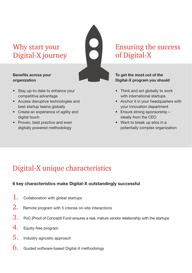### Why start your Digital-X journey

#### Benefits across your organization

- Stay up-to-date to enhance your competitive advantage
- Access disruptive technologies and best startup teams globally
- Create an experience of agility and digital touch
- Proven, best practice and even digitally powered methodology

### Ensuring the success of Digital-X

#### To get the most out of the Digital-X program you should

- Think and act globally to work with international startups
- Anchor it in your headquarters with your innovation department
- Ensure strong sponsorship ideally from the CEO
- Want to break up silos in a potentially complex organization

## Digital-X unique characteristics

#### 6 key characteristics make Digital-X outstandingly successful

- $1.$  Collaboration with global startups
- 2. Remote program with 5 intense on-site interactions
- $3.$  PoC (Proof of Concept) Fund ensures a real, mature vendor relationship with the startups
- 4. Equity-free program
- 5. Industry agnostic approach
- 6. Guided software-based Digital-X methodology